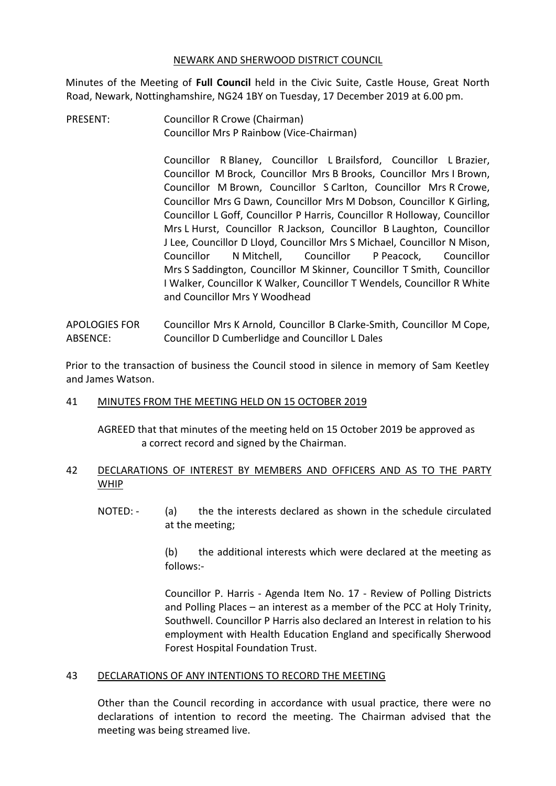#### NEWARK AND SHERWOOD DISTRICT COUNCIL

Minutes of the Meeting of **Full Council** held in the Civic Suite, Castle House, Great North Road, Newark, Nottinghamshire, NG24 1BY on Tuesday, 17 December 2019 at 6.00 pm.

PRESENT: Councillor R Crowe (Chairman) Councillor Mrs P Rainbow (Vice-Chairman)

> Councillor R Blaney, Councillor L Brailsford, Councillor L Brazier, Councillor M Brock, Councillor Mrs B Brooks, Councillor Mrs I Brown, Councillor M Brown, Councillor S Carlton, Councillor Mrs R Crowe, Councillor Mrs G Dawn, Councillor Mrs M Dobson, Councillor K Girling, Councillor L Goff, Councillor P Harris, Councillor R Holloway, Councillor Mrs L Hurst, Councillor R Jackson, Councillor B Laughton, Councillor J Lee, Councillor D Lloyd, Councillor Mrs S Michael, Councillor N Mison, Councillor N Mitchell, Councillor P Peacock, Councillor Mrs S Saddington, Councillor M Skinner, Councillor T Smith, Councillor I Walker, Councillor K Walker, Councillor T Wendels, Councillor R White and Councillor Mrs Y Woodhead

APOLOGIES FOR ABSENCE: Councillor Mrs K Arnold, Councillor B Clarke-Smith, Councillor M Cope, Councillor D Cumberlidge and Councillor L Dales

Prior to the transaction of business the Council stood in silence in memory of Sam Keetley and James Watson.

### 41 MINUTES FROM THE MEETING HELD ON 15 OCTOBER 2019

AGREED that that minutes of the meeting held on 15 October 2019 be approved as a correct record and signed by the Chairman.

## 42 DECLARATIONS OF INTEREST BY MEMBERS AND OFFICERS AND AS TO THE PARTY WHIP

NOTED: - (a) the the interests declared as shown in the schedule circulated at the meeting;

> (b) the additional interests which were declared at the meeting as follows:-

> Councillor P. Harris - Agenda Item No. 17 - Review of Polling Districts and Polling Places – an interest as a member of the PCC at Holy Trinity, Southwell. Councillor P Harris also declared an Interest in relation to his employment with Health Education England and specifically Sherwood Forest Hospital Foundation Trust.

### 43 DECLARATIONS OF ANY INTENTIONS TO RECORD THE MEETING

Other than the Council recording in accordance with usual practice, there were no declarations of intention to record the meeting. The Chairman advised that the meeting was being streamed live.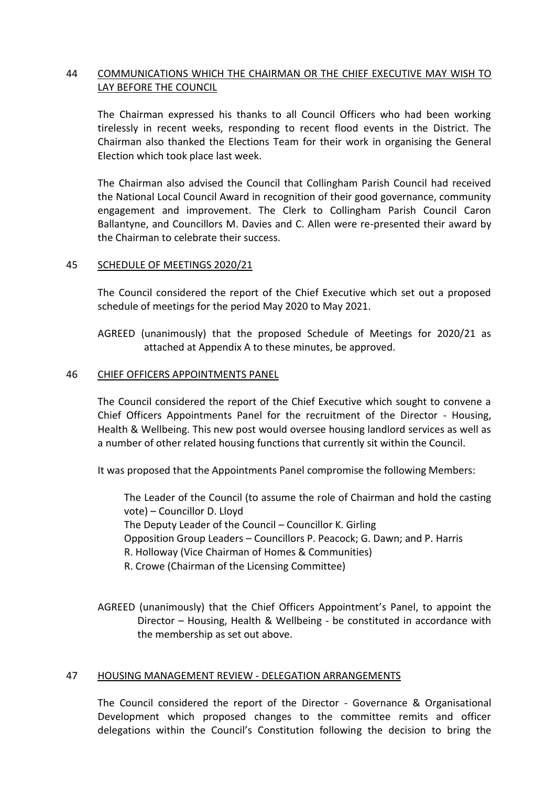# 44 COMMUNICATIONS WHICH THE CHAIRMAN OR THE CHIEF EXECUTIVE MAY WISH TO LAY BEFORE THE COUNCIL

The Chairman expressed his thanks to all Council Officers who had been working tirelessly in recent weeks, responding to recent flood events in the District. The Chairman also thanked the Elections Team for their work in organising the General Election which took place last week.

The Chairman also advised the Council that Collingham Parish Council had received the National Local Council Award in recognition of their good governance, community engagement and improvement. The Clerk to Collingham Parish Council Caron Ballantyne, and Councillors M. Davies and C. Allen were re-presented their award by the Chairman to celebrate their success.

#### 45 SCHEDULE OF MEETINGS 2020/21

The Council considered the report of the Chief Executive which set out a proposed schedule of meetings for the period May 2020 to May 2021.

AGREED (unanimously) that the proposed Schedule of Meetings for 2020/21 as attached at Appendix A to these minutes, be approved.

#### 46 CHIEF OFFICERS APPOINTMENTS PANEL

The Council considered the report of the Chief Executive which sought to convene a Chief Officers Appointments Panel for the recruitment of the Director - Housing, Health & Wellbeing. This new post would oversee housing landlord services as well as a number of other related housing functions that currently sit within the Council.

It was proposed that the Appointments Panel compromise the following Members:

The Leader of the Council (to assume the role of Chairman and hold the casting vote) – Councillor D. Lloyd The Deputy Leader of the Council – Councillor K. Girling Opposition Group Leaders – Councillors P. Peacock; G. Dawn; and P. Harris R. Holloway (Vice Chairman of Homes & Communities) R. Crowe (Chairman of the Licensing Committee)

AGREED (unanimously) that the Chief Officers Appointment's Panel, to appoint the Director – Housing, Health & Wellbeing - be constituted in accordance with the membership as set out above.

### 47 HOUSING MANAGEMENT REVIEW - DELEGATION ARRANGEMENTS

The Council considered the report of the Director - Governance & Organisational Development which proposed changes to the committee remits and officer delegations within the Council's Constitution following the decision to bring the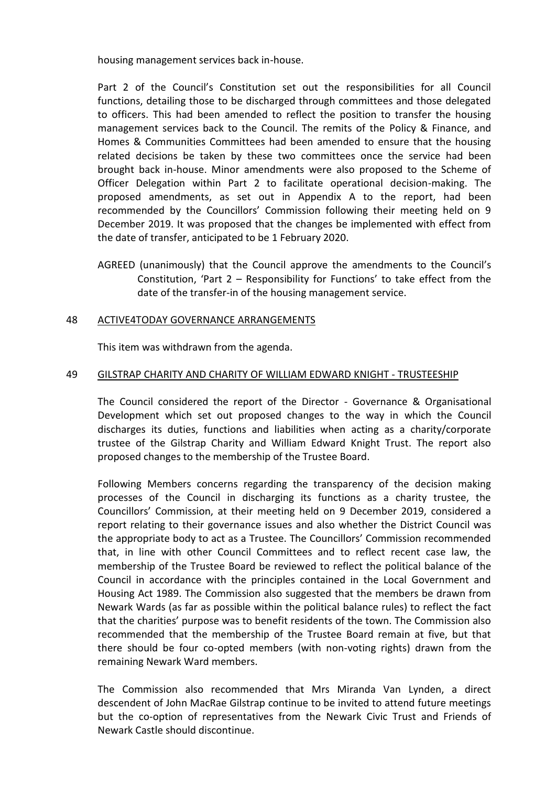housing management services back in-house.

Part 2 of the Council's Constitution set out the responsibilities for all Council functions, detailing those to be discharged through committees and those delegated to officers. This had been amended to reflect the position to transfer the housing management services back to the Council. The remits of the Policy & Finance, and Homes & Communities Committees had been amended to ensure that the housing related decisions be taken by these two committees once the service had been brought back in-house. Minor amendments were also proposed to the Scheme of Officer Delegation within Part 2 to facilitate operational decision-making. The proposed amendments, as set out in Appendix A to the report, had been recommended by the Councillors' Commission following their meeting held on 9 December 2019. It was proposed that the changes be implemented with effect from the date of transfer, anticipated to be 1 February 2020.

AGREED (unanimously) that the Council approve the amendments to the Council's Constitution, 'Part 2 – Responsibility for Functions' to take effect from the date of the transfer-in of the housing management service.

## 48 ACTIVE4TODAY GOVERNANCE ARRANGEMENTS

This item was withdrawn from the agenda.

## 49 GILSTRAP CHARITY AND CHARITY OF WILLIAM EDWARD KNIGHT - TRUSTEESHIP

The Council considered the report of the Director - Governance & Organisational Development which set out proposed changes to the way in which the Council discharges its duties, functions and liabilities when acting as a charity/corporate trustee of the Gilstrap Charity and William Edward Knight Trust. The report also proposed changes to the membership of the Trustee Board.

Following Members concerns regarding the transparency of the decision making processes of the Council in discharging its functions as a charity trustee, the Councillors' Commission, at their meeting held on 9 December 2019, considered a report relating to their governance issues and also whether the District Council was the appropriate body to act as a Trustee. The Councillors' Commission recommended that, in line with other Council Committees and to reflect recent case law, the membership of the Trustee Board be reviewed to reflect the political balance of the Council in accordance with the principles contained in the Local Government and Housing Act 1989. The Commission also suggested that the members be drawn from Newark Wards (as far as possible within the political balance rules) to reflect the fact that the charities' purpose was to benefit residents of the town. The Commission also recommended that the membership of the Trustee Board remain at five, but that there should be four co-opted members (with non-voting rights) drawn from the remaining Newark Ward members.

The Commission also recommended that Mrs Miranda Van Lynden, a direct descendent of John MacRae Gilstrap continue to be invited to attend future meetings but the co-option of representatives from the Newark Civic Trust and Friends of Newark Castle should discontinue.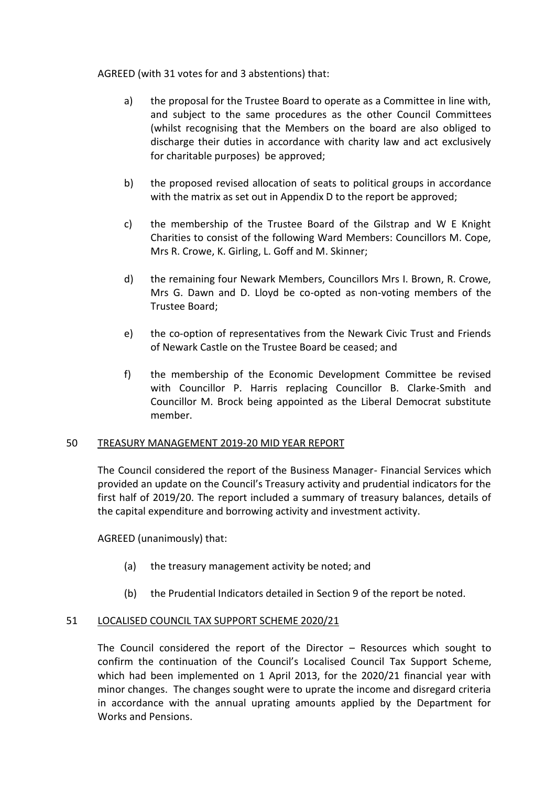### AGREED (with 31 votes for and 3 abstentions) that:

- a) the proposal for the Trustee Board to operate as a Committee in line with, and subject to the same procedures as the other Council Committees (whilst recognising that the Members on the board are also obliged to discharge their duties in accordance with charity law and act exclusively for charitable purposes) be approved;
- b) the proposed revised allocation of seats to political groups in accordance with the matrix as set out in Appendix D to the report be approved;
- c) the membership of the Trustee Board of the Gilstrap and W E Knight Charities to consist of the following Ward Members: Councillors M. Cope, Mrs R. Crowe, K. Girling, L. Goff and M. Skinner;
- d) the remaining four Newark Members, Councillors Mrs I. Brown, R. Crowe, Mrs G. Dawn and D. Lloyd be co-opted as non-voting members of the Trustee Board;
- e) the co-option of representatives from the Newark Civic Trust and Friends of Newark Castle on the Trustee Board be ceased; and
- f) the membership of the Economic Development Committee be revised with Councillor P. Harris replacing Councillor B. Clarke-Smith and Councillor M. Brock being appointed as the Liberal Democrat substitute member.

### 50 TREASURY MANAGEMENT 2019-20 MID YEAR REPORT

The Council considered the report of the Business Manager- Financial Services which provided an update on the Council's Treasury activity and prudential indicators for the first half of 2019/20. The report included a summary of treasury balances, details of the capital expenditure and borrowing activity and investment activity.

AGREED (unanimously) that:

- (a) the treasury management activity be noted; and
- (b) the Prudential Indicators detailed in Section 9 of the report be noted.

### 51 LOCALISED COUNCIL TAX SUPPORT SCHEME 2020/21

The Council considered the report of the Director – Resources which sought to confirm the continuation of the Council's Localised Council Tax Support Scheme, which had been implemented on 1 April 2013, for the 2020/21 financial year with minor changes. The changes sought were to uprate the income and disregard criteria in accordance with the annual uprating amounts applied by the Department for Works and Pensions.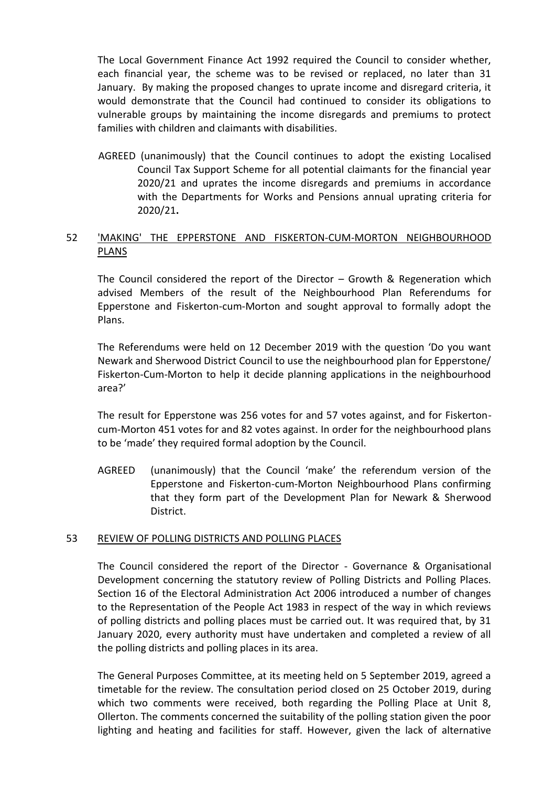The Local Government Finance Act 1992 required the Council to consider whether, each financial year, the scheme was to be revised or replaced, no later than 31 January. By making the proposed changes to uprate income and disregard criteria, it would demonstrate that the Council had continued to consider its obligations to vulnerable groups by maintaining the income disregards and premiums to protect families with children and claimants with disabilities.

AGREED (unanimously) that the Council continues to adopt the existing Localised Council Tax Support Scheme for all potential claimants for the financial year 2020/21 and uprates the income disregards and premiums in accordance with the Departments for Works and Pensions annual uprating criteria for 2020/21**.** 

# 52 'MAKING' THE EPPERSTONE AND FISKERTON-CUM-MORTON NEIGHBOURHOOD PLANS

The Council considered the report of the Director – Growth & Regeneration which advised Members of the result of the Neighbourhood Plan Referendums for Epperstone and Fiskerton-cum-Morton and sought approval to formally adopt the Plans.

The Referendums were held on 12 December 2019 with the question 'Do you want Newark and Sherwood District Council to use the neighbourhood plan for Epperstone/ Fiskerton-Cum-Morton to help it decide planning applications in the neighbourhood area?'

The result for Epperstone was 256 votes for and 57 votes against, and for Fiskertoncum-Morton 451 votes for and 82 votes against. In order for the neighbourhood plans to be 'made' they required formal adoption by the Council.

AGREED (unanimously) that the Council 'make' the referendum version of the Epperstone and Fiskerton-cum-Morton Neighbourhood Plans confirming that they form part of the Development Plan for Newark & Sherwood District.

### 53 REVIEW OF POLLING DISTRICTS AND POLLING PLACES

The Council considered the report of the Director - Governance & Organisational Development concerning the statutory review of Polling Districts and Polling Places. Section 16 of the Electoral Administration Act 2006 introduced a number of changes to the Representation of the People Act 1983 in respect of the way in which reviews of polling districts and polling places must be carried out. It was required that, by 31 January 2020, every authority must have undertaken and completed a review of all the polling districts and polling places in its area.

The General Purposes Committee, at its meeting held on 5 September 2019, agreed a timetable for the review. The consultation period closed on 25 October 2019, during which two comments were received, both regarding the Polling Place at Unit 8, Ollerton. The comments concerned the suitability of the polling station given the poor lighting and heating and facilities for staff. However, given the lack of alternative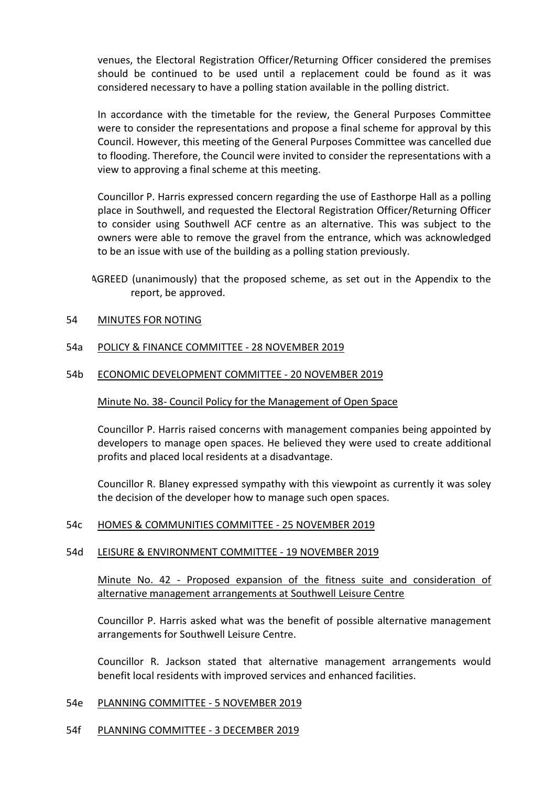venues, the Electoral Registration Officer/Returning Officer considered the premises should be continued to be used until a replacement could be found as it was considered necessary to have a polling station available in the polling district.

In accordance with the timetable for the review, the General Purposes Committee were to consider the representations and propose a final scheme for approval by this Council. However, this meeting of the General Purposes Committee was cancelled due to flooding. Therefore, the Council were invited to consider the representations with a view to approving a final scheme at this meeting.

Councillor P. Harris expressed concern regarding the use of Easthorpe Hall as a polling place in Southwell, and requested the Electoral Registration Officer/Returning Officer to consider using Southwell ACF centre as an alternative. This was subject to the owners were able to remove the gravel from the entrance, which was acknowledged to be an issue with use of the building as a polling station previously.

AGREED (unanimously) that the proposed scheme, as set out in the Appendix to the report, be approved.

### 54 MINUTES FOR NOTING

## 54a POLICY & FINANCE COMMITTEE - 28 NOVEMBER 2019

### 54b ECONOMIC DEVELOPMENT COMMITTEE - 20 NOVEMBER 2019

### Minute No. 38- Council Policy for the Management of Open Space

Councillor P. Harris raised concerns with management companies being appointed by developers to manage open spaces. He believed they were used to create additional profits and placed local residents at a disadvantage.

Councillor R. Blaney expressed sympathy with this viewpoint as currently it was soley the decision of the developer how to manage such open spaces.

### 54c HOMES & COMMUNITIES COMMITTEE - 25 NOVEMBER 2019

### 54d LEISURE & ENVIRONMENT COMMITTEE - 19 NOVEMBER 2019

Minute No. 42 - Proposed expansion of the fitness suite and consideration of alternative management arrangements at Southwell Leisure Centre

Councillor P. Harris asked what was the benefit of possible alternative management arrangements for Southwell Leisure Centre.

Councillor R. Jackson stated that alternative management arrangements would benefit local residents with improved services and enhanced facilities.

#### 54e PLANNING COMMITTEE - 5 NOVEMBER 2019

### 54f PLANNING COMMITTEE - 3 DECEMBER 2019